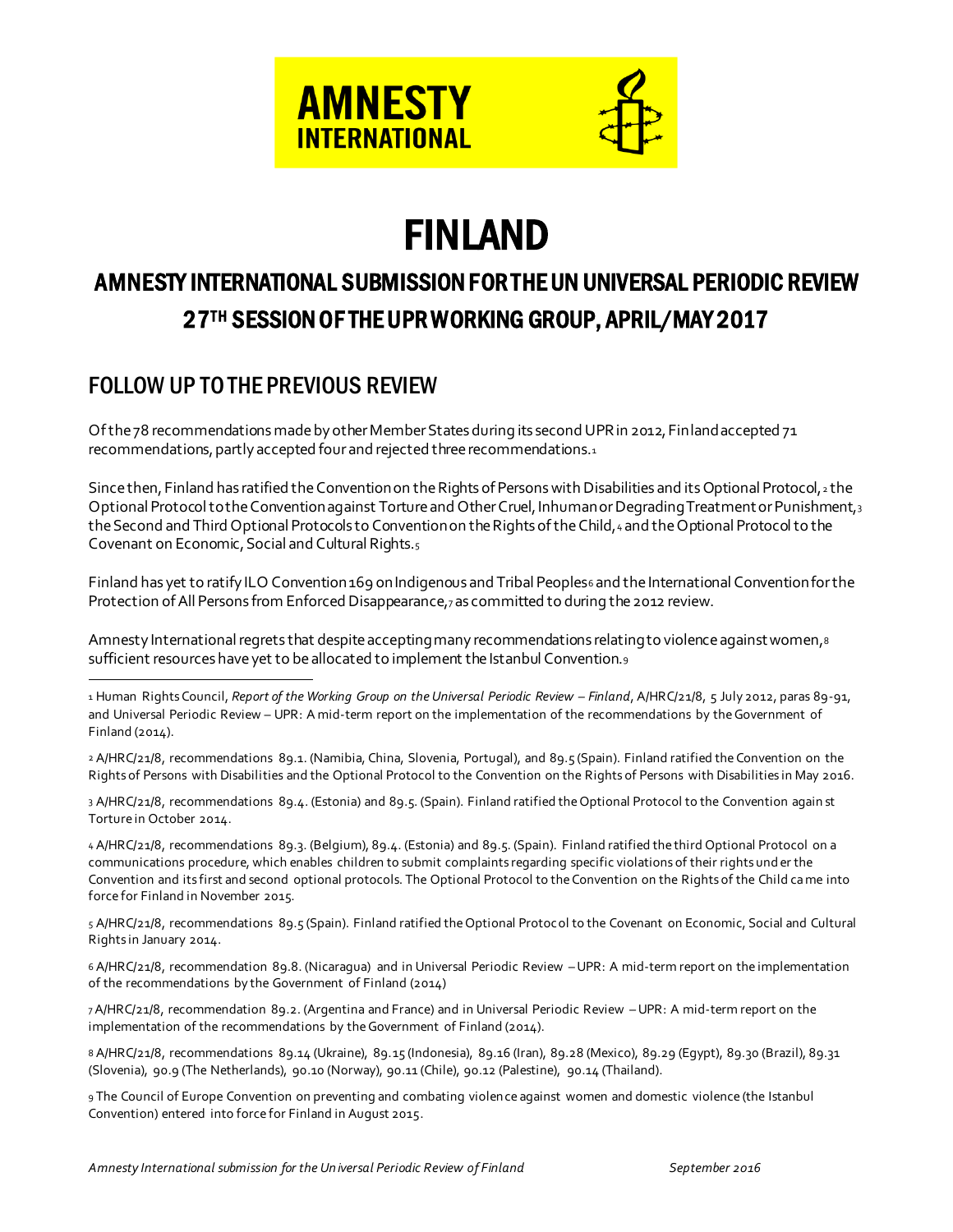

# FINLAND

# AMNESTY INTERNATIONAL SUBMISSION FOR THE UN UNIVERSAL PERIODIC REVIEW 27TH SESSION OF THE UPR WORKING GROUP, APRIL/MAY 2017

### FOLLOW UP TO THE PREVIOUS REVIEW

l

Of the 78 recommendations made by other Member States during its second UPR in 2012, Finland accepted 71 recommendations, partly accepted four and rejected three recommendations.<sup>1</sup>

Since then, Finland has ratified the Convention on the Rights of Persons with Disabilities and its Optional Protocol, $_2$  the Optional Protocol to the Convention against Torture and Other Cruel, Inhuman or Degrading Treatment or Punishment,<sup>3</sup> the Second and Third Optional Protocols to Convention on the Rights of the Child, 4 and the Optional Protocol to the Covenant on Economic, Social and Cultural Rights.<sup>5</sup>

Finland has yet to ratify ILO Convention 169 on Indigenous and Tribal Peoples6 and the International Convention for the Protection of All Persons from Enforced Disappearance,7as committed to during the 2012 review.

Amnesty International regrets that despite accepting many recommendations relating to violence against women,<sup>8</sup> sufficient resources have yet to be allocated to implement the Istanbul Convention.<sup>9</sup>

1 Human Rights Council, *Report of the Working Group on the Universal Periodic Review – Finland, A/HRC/21/8, 5 July 2012, paras 89-91,* and Universal Periodic Review – UPR: A mid-term report on the implementation of the recommendations by the Government of Finland (2014).

2 A/HRC/21/8, recommendations 89.1. (Namibia, China, Slovenia, Portugal), and 89.5 (Spain). Finland ratified the Convention on the Rights of Persons with Disabilities and the Optional Protocol to the Convention on the Rights of Persons with Disabilities in May 2016.

3 A/HRC/21/8, recommendations 89.4. (Estonia) and 89.5. (Spain). Finland ratified the Optional Protocol to the Convention again st Torture in October 2014.

4 A/HRC/21/8, recommendations 89.3. (Belgium), 89.4. (Estonia) and 89.5. (Spain). Finland ratified the third Optional Protocol on a communications procedure, which enables children to submit complaints regarding specific violations of their rights und er the Convention and its first and second optional protocols. The Optional Protocol to the Convention on the Rights of the Child came into force for Finland in November 2015.

5 A/HRC/21/8, recommendations 89.5 (Spain). Finland ratified the Optional Protocol to the Covenant on Economic, Social and Cultural Rights in January 2014.

6 A/HRC/21/8, recommendation 89.8. (Nicaragua) and in Universal Periodic Review –UPR: A mid-term report on the implementation of the recommendations by the Government of Finland (2014)

7A/HRC/21/8, recommendation 89.2. (Argentina and France) and in Universal Periodic Review –UPR: A mid-term report on the implementation of the recommendations by the Government of Finland (2014).

8 A/HRC/21/8, recommendations 89.14 (Ukraine), 89.15 (Indonesia), 89.16 (Iran), 89.28 (Mexico), 89.29 (Egypt), 89.30 (Brazil), 89.31 (Slovenia), 90.9 (The Netherlands), 90.10 (Norway), 90.11 (Chile), 90.12 (Palestine), 90.14 (Thailand).

9 The Council of Europe Convention on preventing and combating violence against women and domestic violence (the Istanbul Convention) entered into force for Finland in August 2015.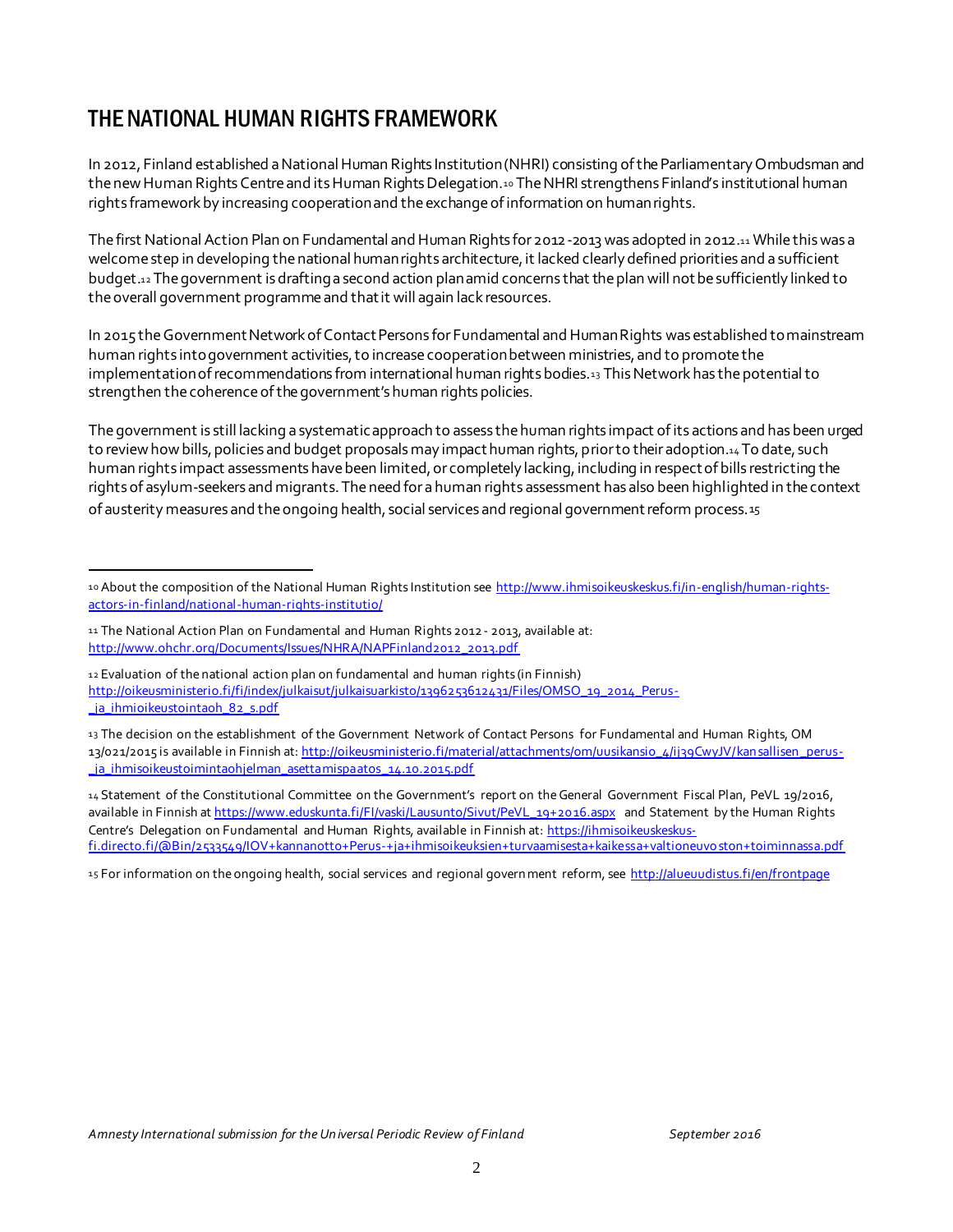# THE NATIONAL HUMAN RIGHTS FRAMEWORK

In 2012, Finland established a National Human Rights Institution (NHRI) consisting of the Parliamentary Ombudsman and the new Human Rights Centre and its Human Rights Delegation.10 The NHRI strengthens Finland's institutional human rights framework by increasing cooperation and the exchange of information on human rights.

The first National Action Plan on Fundamental and Human Rights for 2012-2013 was adopted in 2012.<sup>11</sup> While this was a welcome step in developing the national human rights architecture, it lacked clearly defined priorities and a sufficient budget.<sup>12</sup> The government is drafting a second action plan amid concerns that the plan will not be sufficiently linked to the overall government programme and that it will again lack resources.

In 2015 the Government Network of Contact Persons for Fundamental and Human Rights was established to mainstream human rights into government activities, to increase cooperation between ministries, and to promote the implementation of recommendations from international human rights bodies.<sup>13</sup> This Network has the potential to strengthen the coherence of the government's human rights policies.

The government is still lacking a systematic approach to assess the human rights impact of its actions and has been urged to review how bills, policies and budget proposals may impact human rights, prior to their adoption.14 To date, such human rights impact assessments have been limited, or completely lacking, including in respect of bills restricting the rights of asylum-seekers and migrants. The need for a human rights assessment has also been highlighted in the context of austerity measures and the ongoing health, social services and regional government reform process.15

14 Statement of the Constitutional Committee on the Government's report on the General Government Fiscal Plan, PeVL 19/2016, available in Finnish at https://www.eduskunta.fi/FI/vaski/Lausunto/Sivut/PeVL\_19+2016.aspx and Statement by the Human Rights Centre's Delegation on Fundamental and Human Rights, available in Finnish at: https://ihmisoikeuskeskusfi.directo.fi/@Bin/2533549/IOV+kannanotto+Perus-+ja+ihmisoikeuksien+turvaamisesta+kaikessa+valtioneuvo ston+toiminnassa.pdf

15 For information on the ongoing health, social services and regional government reform, see http://alueuudistus.fi/en/frontpage

l 10 About the composition of the National Human Rights Institution see http://www.ihmisoikeuskeskus.fi/in-english/human-rightsactors-in-finland/national-human-rights-institutio/

<sup>11</sup> The National Action Plan on Fundamental and Human Rights 2012- 2013, available at: http://www.ohchr.org/Documents/Issues/NHRA/NAPFinland2012\_2013.pdf

<sup>12</sup> Evaluation of the national action plan on fundamental and human rights (in Finnish) http://oikeusministerio.fi/fi/index/julkaisut/julkaisuarkisto/1396253612431/Files/OMSO\_19\_2014\_Perusja\_ihmioikeustointaoh\_82\_s.pdf

<sup>13</sup> The decision on the establishment of the Government Network of Contact Persons for Fundamental and Human Rights, OM 13/021/2015 is available in Finnish at: http://oikeusministerio.fi/material/attachments/om/uusikansio\_4/ij39CwyJV/kan sallisen \_perus- \_ja\_ihmisoikeustoimintaohjelman\_asettamispaatos\_14.10.2015.pdf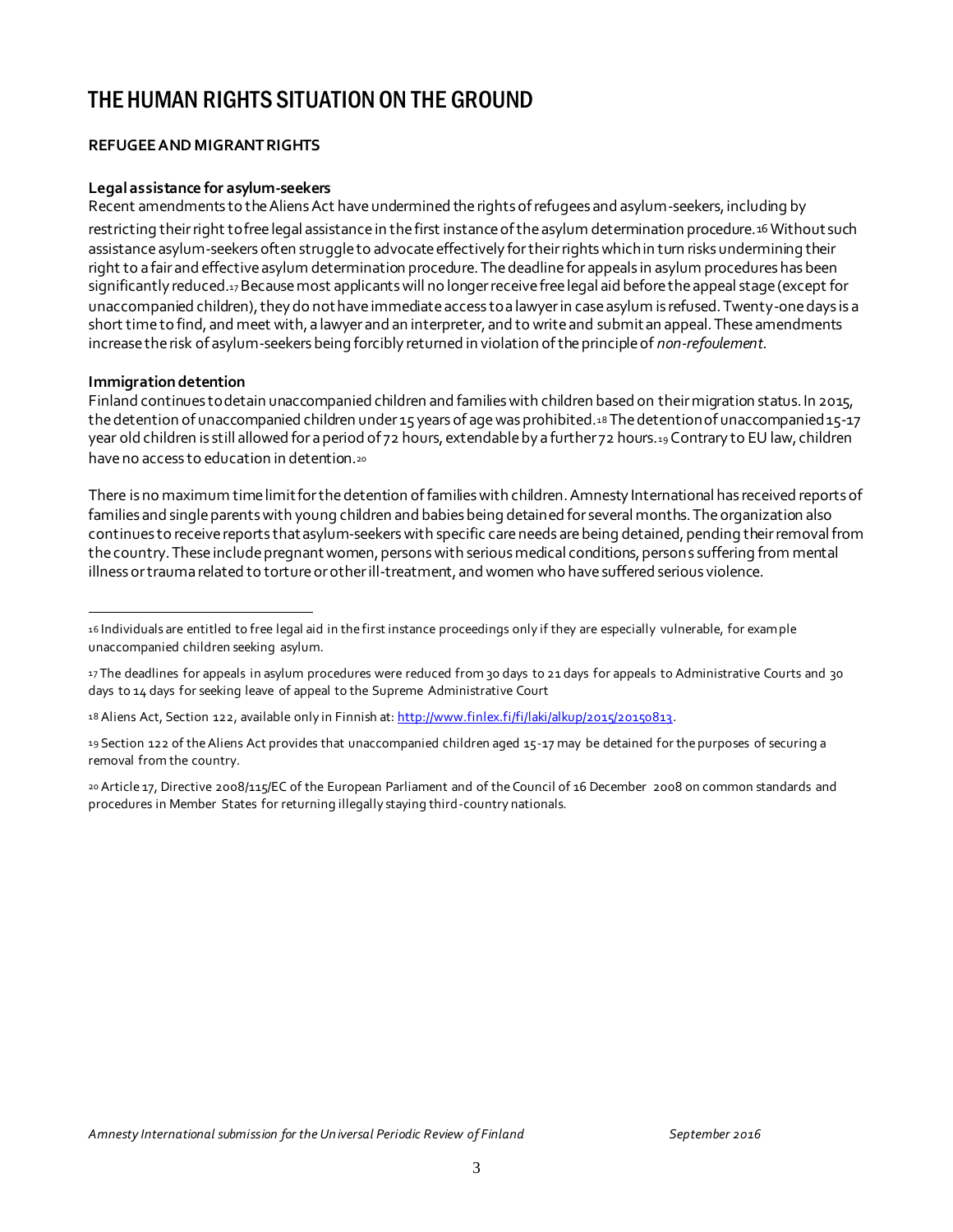# THE HUMAN RIGHTS SITUATION ON THE GROUND

#### **REFUGEE AND MIGRANT RIGHTS**

#### **Legal assistance for asylum-seekers**

Recent amendments to the Aliens Act have undermined the rights of refugees and asylum-seekers, including by

restricting their right to free legal assistance in the first instance of the asylum determination procedure.16 Without such assistance asylum-seekers often struggle to advocate effectively for their rights which in turn risks undermining their right to a fair and effective asylum determination procedure. The deadline for appeals in asylum procedures has been significantly reduced.17Because most applicants will no longer receive free legal aid before the appeal stage (except for unaccompanied children), they do not have immediate access to a lawyer in case asylum is refused. Twenty-one days is a short time to find, and meet with, a lawyer and an interpreter, and to write and submit an appeal. These amendments increase the risk of asylum-seekers being forcibly returned in violation of the principle of *non-refoulement*.

#### **Immigration detention**

Finland continues to detain unaccompanied children and families with children based on their migration status. In 2015, the detention of unaccompanied children under 15 years of age was prohibited.<sup>18</sup> The detention of unaccompanied 15-17 year old children is still allowed for a period of 72 hours, extendable by a further 72 hours.19 Contrary to EU law, children have no access to education in detention.<sup>20</sup>

There is no maximum time limit for the detention of families with children. Amnesty International has received reports of families and single parents with young children and babies being detained for several months. The organization also continues to receive reports that asylum-seekers with specific care needs are being detained, pending their removal from the country. These include pregnant women, persons with serious medical conditions, persons suffering from mental illness or trauma related to torture or other ill-treatment, and women who have suffered serious violence.

l 16 Individuals are entitled to free legal aid in the first instance proceedings only if they are especially vulnerable, for example unaccompanied children seeking asylum.

<sup>17</sup> The deadlines for appeals in asylum procedures were reduced from 30 days to 21 days for appeals to Administrative Courts and 30 days to 14 days for seeking leave of appeal to the Supreme Administrative Court

<sup>18</sup> Aliens Act, Section 122, available only in Finnish at: http://www.finlex.fi/fi/laki/alkup/2015/20150813.

<sup>19</sup> Section 122 of the Aliens Act provides that unaccompanied children aged 15-17 may be detained for the purposes of securing a removal from the country.

<sup>20</sup> Article 17, Directive 2008/115/EC of the European Parliament and of the Council of 16 December 2008 on common standards and procedures in Member States for returning illegally staying third-country nationals.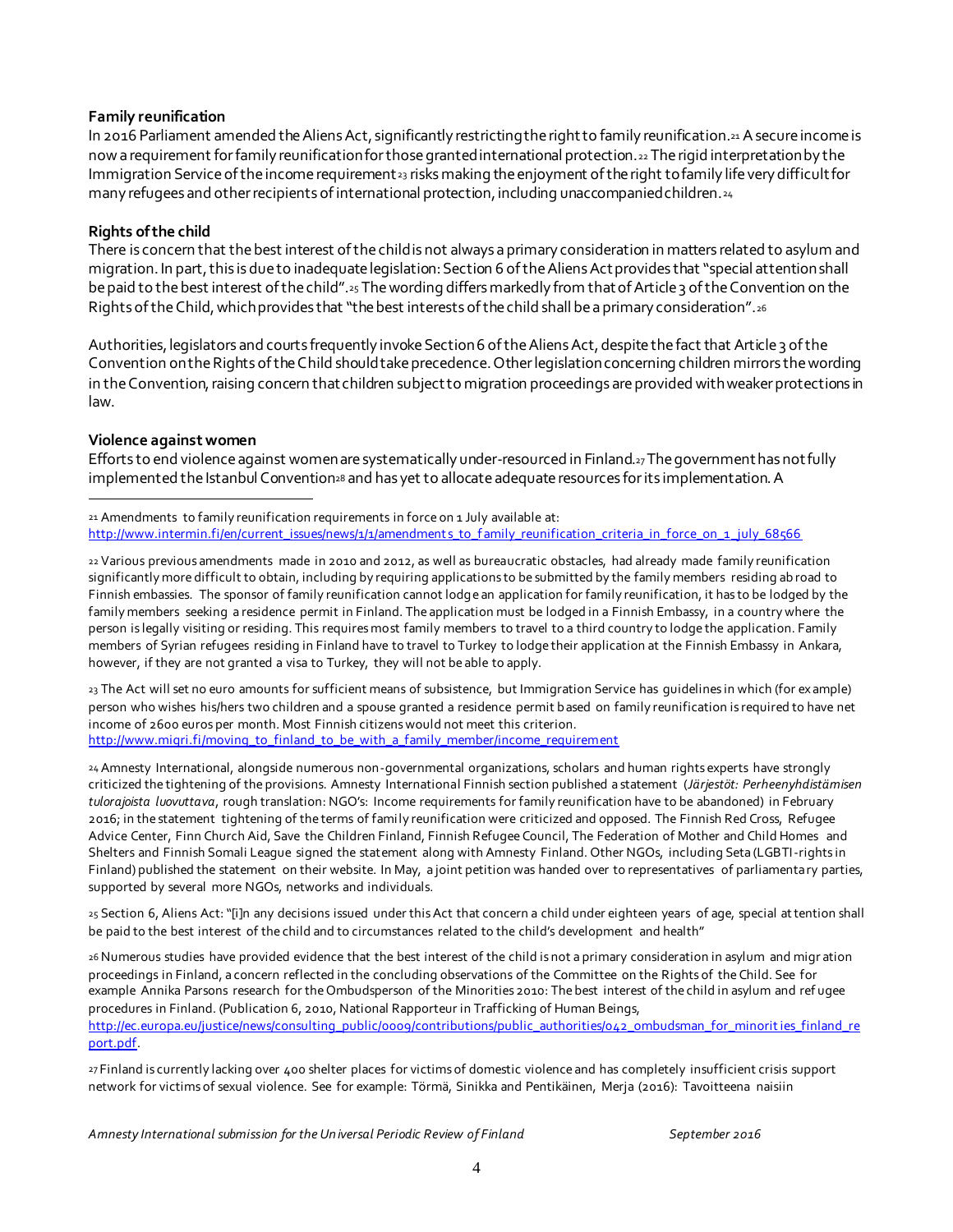#### **Family reunification**

In 2016 Parliament amended the Aliens Act, significantly restricting the right to family reunification.<sup>21</sup> A secure income is now a requirement for family reunification for those granted international protection.<sup>22</sup> The rigid interpretation by the Immigration Service of the income requirement<sub>23</sub> risks making the enjoyment of the right to family life very difficult for many refugees and other recipients of international protection, including unaccompanied children.<sup>24</sup>

#### **Rights of the child**

There is concern that the best interest of the child is not always a primary consideration in matters related to asylum and migration. In part, this is due to inadequate legislation: Section 6 of the Aliens Act provides that "special attention shall be paid to the best interest of the child".<sup>25</sup> The wording differs markedly from that of Article 3 of the Convention on the Rights of the Child, which provides that "the best interests of the child shall be a primary consideration". 26

Authorities, legislators and courts frequently invoke Section 6 of the Aliens Act, despite the fact that Article 3 of the Convention on the Rights of the Child should take precedence. Other legislation concerning children mirrors the wording in the Convention, raising concern that children subject to migration proceedings are provided with weaker protections in law.

#### **Violence against women**

port.pdf.

Efforts to end violence against women are systematically under-resourced in Finland.<sup>27</sup>The government has not fully implemented the Istanbul Convention<sup>28</sup> and has yet to allocate adequate resources for its implementation. A

j 21 Amendments to family reunification requirements in force on 1 July available at: http://www.intermin.fi/en/current\_issues/news/1/1/amendments\_to\_f amily\_reunification\_criteria\_in\_force\_on\_1\_july\_68566

22 Various previous amendments made in 2010 and 2012, as well as bureaucratic obstacles, had already made family reunification significantly more difficult to obtain, including by requiring applications to be submitted by the family members residing ab road to Finnish embassies. The sponsor of family reunification cannot lodge an application for family reunification, it has to be lodged by the family members seeking a residence permit in Finland. The application must be lodged in a Finnish Embassy, in a country where the person is legally visiting or residing. This requires most family members to travel to a third country to lodge the application. Family members of Syrian refugees residing in Finland have to travel to Turkey to lodge their application at the Finnish Embassy in Ankara, however, if they are not granted a visa to Turkey, they will not be able to apply.

23 The Act will set no euro amounts for sufficient means of subsistence, but Immigration Service has guidelines in which (for ex ample) person who wishes his/hers two children and a spouse granted a residence permit based on family reunification is required to have net income of 2600 euros per month. Most Finnish citizens would not meet this criterion. http://www.migri.fi/moving\_to\_finland\_to\_be\_with\_a\_family\_member/income\_requirement

24 Amnesty International, alongside numerous non-governmental organizations, scholars and human rights experts have strongly criticized the tightening of the provisions. Amnesty International Finnish section published a statement (*Järjestöt: Perheenyhdistämisen tulorajoista luovuttava*, rough translation: NGO's: Income requirements for family reunification have to be abandoned) in February 2016; in the statement tightening of the terms of family reunification were criticized and opposed. The Finnish Red Cross, Refugee Advice Center, Finn Church Aid, Save the Children Finland, Finnish Refugee Council, The Federation of Mother and Child Homes and Shelters and Finnish Somali League signed the statement along with Amnesty Finland. Other NGOs, including Seta (LGBTI-rights in Finland) published the statement on their website. In May, a joint petition was handed over to representatives of parliamentary parties, supported by several more NGOs, networks and individuals.

25 Section 6, Aliens Act: "[i]n any decisions issued under this Act that concern a child under eighteen years of age, special attention shall be paid to the best interest of the child and to circumstances related to the child's development and health"

26Numerous studies have provided evidence that the best interest of the child is not a primary consideration in asylum and migr ation proceedings in Finland, a concern reflected in the concluding observations of the Committee on the Rights of the Child. See for example Annika Parsons research for the Ombudsperson of the Minorities 2010: The best interest of the child in asylum and ref ugee procedures in Finland. (Publication 6, 2010, National Rapporteur in Trafficking of Human Beings, http://ec.europa.eu/justice/news/consulting\_public/0009/contributions/public\_authorities/042\_ombudsman\_for\_minorities\_finland\_re

27 Finland is currently lacking over 400 shelter places for victims of domestic violence and has completely insufficient crisis support network for victims of sexual violence. See for example: Törmä, Sinikka and Pentikäinen, Merja (2016): Tavoitteena naisiin

Amnesty International submission for the Universal Periodic Review of Finland September 2016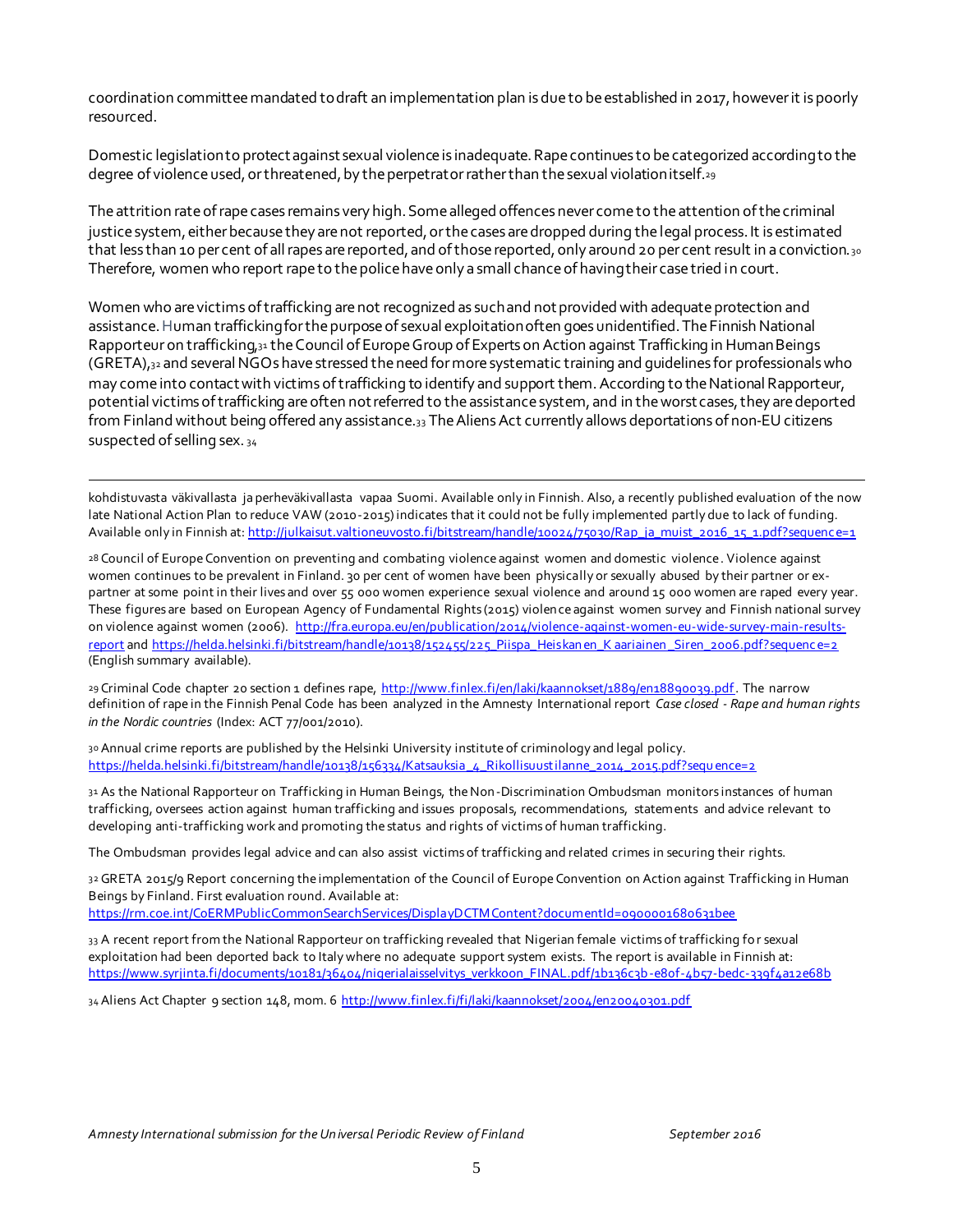coordination committee mandated to draft an implementation plan is due to be established in 2017, however it is poorly resourced.

Domestic legislation to protect against sexual violence is inadequate. Rape continues to be categorized according to the degree of violence used, or threatened, by the perpetrator rather than the sexual violation itself.<sup>29</sup>

The attrition rate of rape cases remains very high. Some alleged offences never come to the attention of the criminal justice system, either because they are not reported, or the cases are dropped during the legal process. It is estimated that less than 10 per cent of all rapes are reported, and of those reported, only around 20 per cent result in a conviction.30 Therefore, women who report rape to the police have only a small chance of having their case tried in court.

Women who are victims of trafficking are not recognized as such and not provided with adequate protection and assistance.Human trafficking for the purpose of sexual exploitation often goes unidentified. The Finnish National Rapporteur on trafficking,<sup>31</sup> the Council of Europe Group of Experts on Action against Trafficking in Human Beings (GRETA),<sup>32</sup> and several NGOs have stressed the need for more systematic training and guidelines for professionals who may come into contact with victims of trafficking to identify and support them. According to the National Rapporteur, potential victims of trafficking are often not referred to the assistance system, and in the worst cases, they are deported from Finland without being offered any assistance.<sub>33</sub> The Aliens Act currently allows deportations of non-EU citizens suspected of selling sex. <sup>34</sup>

. kohdistuvasta väkivallasta ja perheväkivallasta vapaa Suomi. Available only in Finnish. Also, a recently published evaluation of the now late National Action Plan to reduce VAW (2010-2015) indicates that it could not be fully implemented partly due to lack of funding. Available only in Finnish at: http://julkaisut.valtioneuvosto.fi/bitstream/handle/10024/75030/Rap\_ja\_muist\_2016\_15\_1.pdf?sequenc e=1

28 Council of Europe Convention on preventing and combating violence against women and domestic violence. Violence against women continues to be prevalent in Finland. 30 per cent of women have been physically or sexually abused by their partner or expartner at some point in their lives and over 55 000 women experience sexual violence and around 15 000 women are raped every year. These figures are based on European Agency of Fundamental Rights (2015) violence against women survey and Finnish national survey on violence against women (2006). http://fra.europa.eu/en/publication/2014/violence-against-women-eu-wide-survey-main-resultsreport and https://helda.helsinki.fi/bitstream/handle/10138/152455/225\_Piispa\_Heiskan en\_K aariainen Siren\_2006.pdf?sequenc e=2 (English summary available).

29 Criminal Code chapter 20 section 1 defines rape, http://www.finlex.fi/en/laki/kaannokset/1889/en18890039.pdf. The narrow definition of rape in the Finnish Penal Code has been analyzed in the Amnesty International report *Case closed - Rape and human rights in the Nordic countries* (Index: ACT 77/001/2010).

30 Annual crime reports are published by the Helsinki University institute of criminology and legal policy. https://helda.helsinki.fi/bitstream/handle/10138/156334/Katsauksia\_4\_Rikollisuustilanne\_2014\_2015.pdf?sequ ence=2

31 As the National Rapporteur on Trafficking in Human Beings, the Non-Discrimination Ombudsman monitors instances of human trafficking, oversees action against human trafficking and issues proposals, recommendations, statements and advice relevant to developing anti-trafficking work and promoting the status and rights of victims of human trafficking.

The Ombudsman provides legal advice and can also assist victims of trafficking and related crimes in securing their rights.

32 GRETA 2015/9 Report concerning the implementation of the Council of Europe Convention on Action against Trafficking in Human Beings by Finland. First evaluation round. Available at:

https://rm.coe.int/CoERMPublicCommonSearchServices/DisplayDCTMContent?documentId=0900001680631bee

33 A recent report from the National Rapporteur on trafficking revealed that Nigerian female victims of trafficking for sexual exploitation had been deported back to Italy where no adequate support system exists. The report is available in Finnish at: https://www.syrjinta.fi/documents/10181/36404/nigerialaisselvitys\_verkkoon\_FINAL.pdf/1b136c3b-e80f-4b57-bedc-339f4a12e68b

34 Aliens Act Chapter 9 section 148, mom. 6 http://www.finlex.fi/fi/laki/kaannokset/2004/en20040301.pdf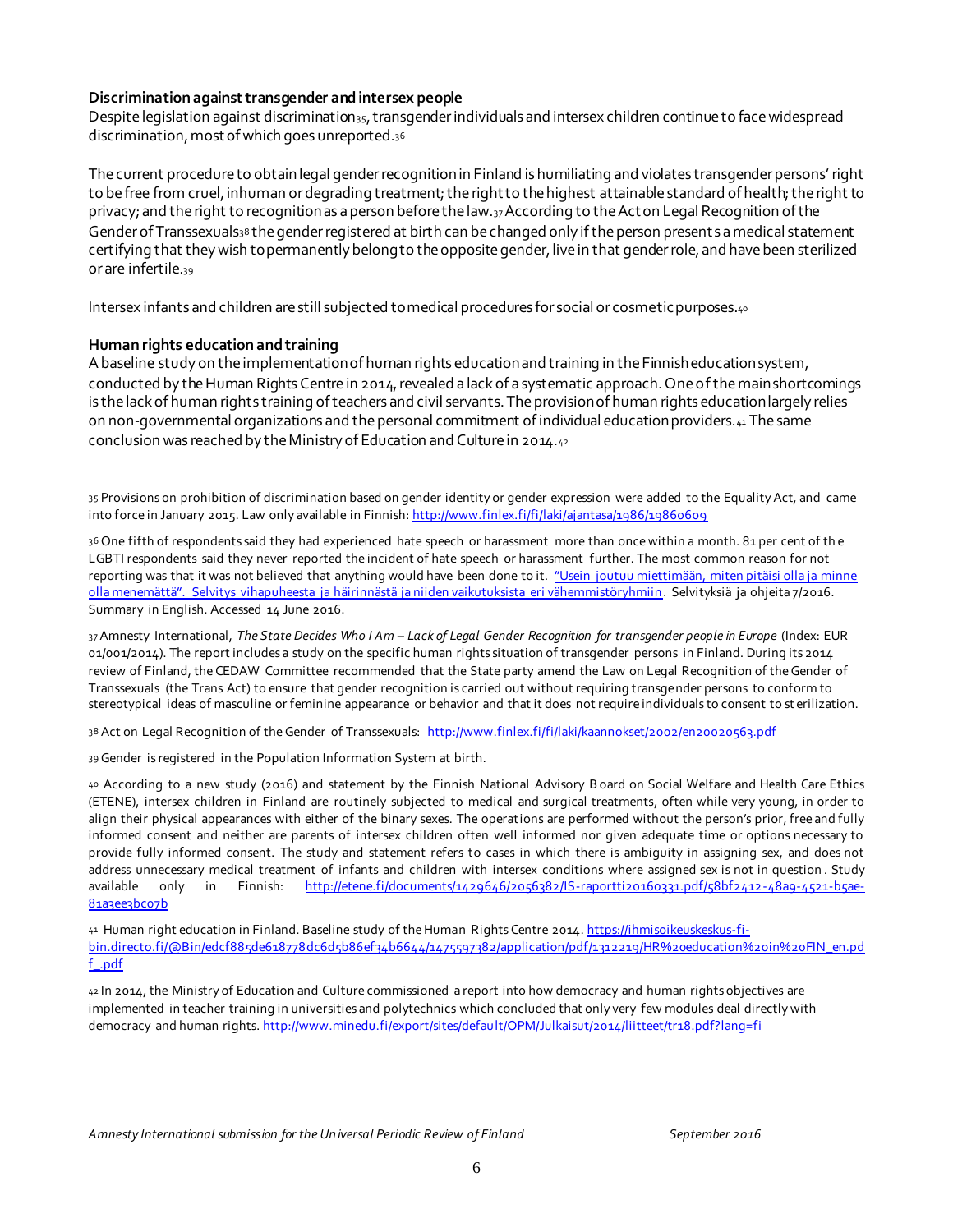#### **Discrimination against transgender and intersex people**

Despite legislation against discrimination<sub>35</sub>, transgender individuals and intersex children continue to face widespread discrimination, most of which goes unreported.<sup>36</sup>

The current procedure to obtain legal gender recognitionin Finland is humiliating and violates transgender persons' right to be free from cruel, inhuman or degrading treatment; the right to the highest attainable standard of health; the right to privacy; and the right to recognition as a person before the law.37According to the Act on Legal Recognition of the Gender of Transsexuals38 the gender registered at birth can be changed only if the person presents a medical statement certifying that they wish to permanently belong to the opposite gender, live in that gender role, and have been sterilized or are infertile.<sup>39</sup>

Intersex infants and children are still subjected to medical procedures for social or cosmetic purposes.<sup>40</sup>

#### **Human rights education and training**

j

A baseline study on the implementation of human rights education and training in the Finnish education system, conducted by the Human Rights Centre in 2014, revealed a lack of a systematic approach. One of the main shortcomings is the lack of human rights training of teachers and civil servants. The provision of human rights education largely relies on non-governmental organizations and the personal commitment of individual education providers.<sup>41</sup> The same conclusion was reached by the Ministry of Education and Culture in 2014.<sup>42</sup>

37Amnesty International, *The State Decides Who I Am – Lack of Legal Gender Recognition for transgender people in Europe* (Index: EUR 01/001/2014). The report includes a study on the specific human rights situation of transgender persons in Finland. During its 2014 review of Finland, the CEDAW Committee recommended that the State party amend the Law on Legal Recognition of the Gender of Transsexuals (the Trans Act) to ensure that gender recognition is carried out without requiring transgender persons to conform to stereotypical ideas of masculine or feminine appearance or behavior and that it does not require individuals to consent to st erilization.

38 Act on Legal Recognition of the Gender of Transsexuals: http://www.finlex.fi/fi/laki/kaannokset/2002/en20020563.pdf

39Gender is registered in the Population Information System at birth.

41 Human right education in Finland. Baseline study of the Human Rights Centre 2014. https://ihmisoikeuskeskus-fibin.directo.fi/@Bin/edcf885de618778dc6d5b86ef34b6644/1475597382/application/pdf/1312219/HR%20education%20in%20FIN\_en.pd f\_.pdf

42 In 2014, the Ministry of Education and Culture commissioned a report into how democracy and human rights objectives are implemented in teacher training in universities and polytechnics which concluded that only very few modules deal directly with democracy and human rights. http://www.minedu.fi/export/sites/default/OPM/Julkaisut/2014/liitteet/tr18.pdf?lang=fi

<sup>35</sup> Provisions on prohibition of discrimination based on gender identity or gender expression were added to the Equality Act, and came into force in January 2015. Law only available in Finnish: http://www.finlex.fi/fi/laki/ajantasa/1986/19860609

<sup>36</sup> One fifth of respondents said they had experienced hate speech or harassment more than once within a month. 81 per cent of th e LGBTI respondents said they never reported the incident of hate speech or harassment further. The most common reason for not reporting was that it was not believed that anything would have been done to it. "Usein joutuu miettimään, miten pitäisi olla ja minne olla menemättä". Selvitys vihapuheesta ja häirinnästä ja niiden vaikutuksista eri vähemmistöryhmiin. Selvityksiä ja ohjeita 7/2016. Summary in English. Accessed 14 June 2016.

<sup>40</sup> According to a new study (2016) and statement by the Finnish National Advisory Board on Social Welfare and Health Care Ethics (ETENE), intersex children in Finland are routinely subjected to medical and surgical treatments, often while very young, in order to align their physical appearances with either of the binary sexes. The operations are performed without the person's prior, free and fully informed consent and neither are parents of intersex children often well informed nor given adequate time or options necessary to provide fully informed consent. The study and statement refers to cases in which there is ambiguity in assigning sex, and does not address unnecessary medical treatment of infants and children with intersex conditions where assigned sex is not in question . Study available only in Finnish: http://etene.fi/documents/1429646/2056382/IS-raportti20160331.pdf/58bf2412-48a9-4521-b5ae-81a3ee3bc07b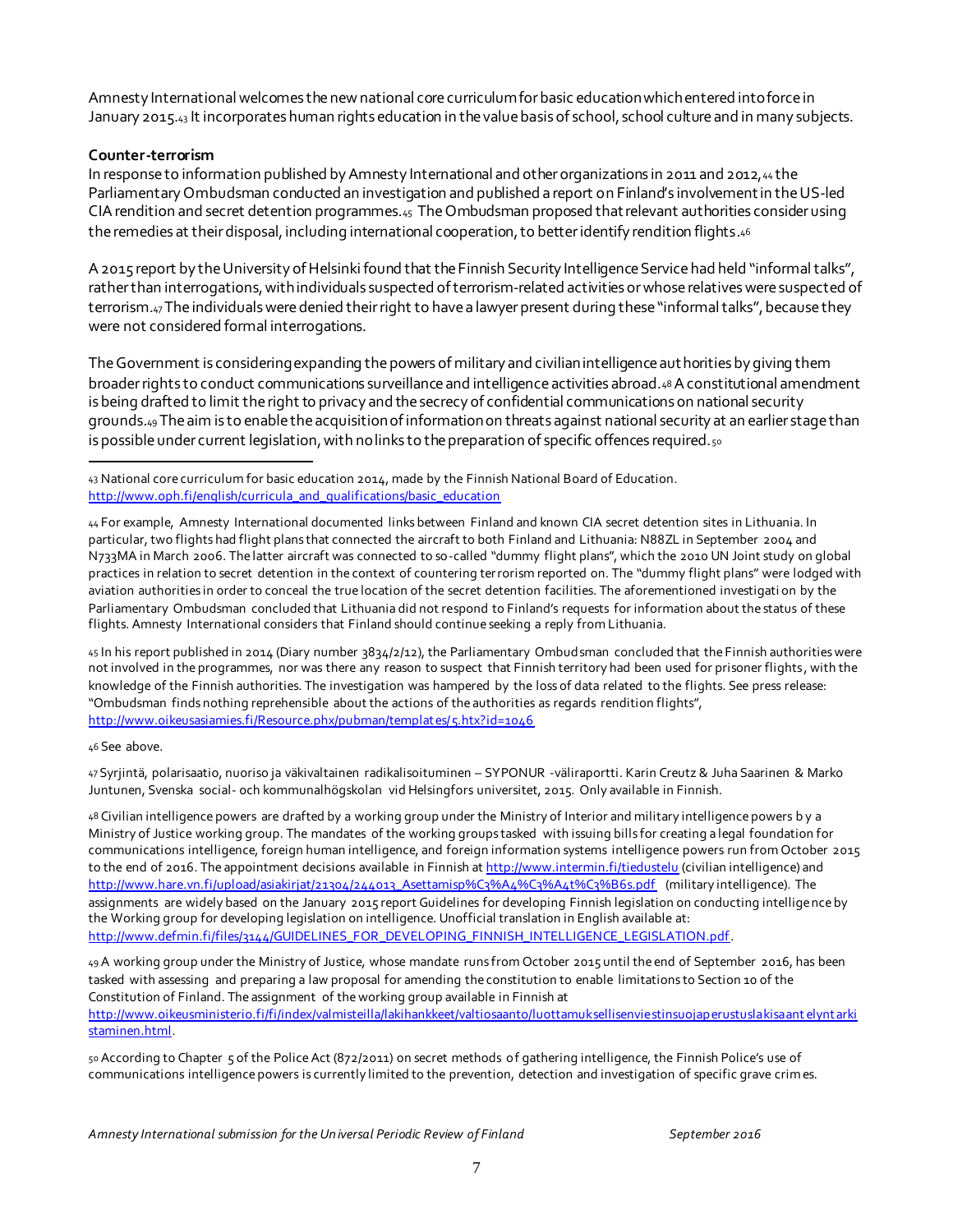Amnesty International welcomes the new national core curriculum for basic education which entered into force in January 2015.43 It incorporates human rights education in the value basis of school, school culture and in many subjects.

#### **Counter-terrorism**

In response to information published by Amnesty International and other organizations in 2011 and 2012, 44 the Parliamentary Ombudsman conducted an investigation and published a report on Finland's involvement in the US-led CIA rendition and secret detention programmes.<sup>45</sup> The Ombudsman proposed that relevant authorities consider using the remedies at their disposal, including international cooperation, to better identify rendition flights.<sup>46</sup>

A 2015 report by the University of Helsinki found that the Finnish Security Intelligence Service had held "informal talks", rather than interrogations, with individuals suspected of terrorism-related activities or whose relatives were suspected of terrorism.47The individuals were denied their right to have a lawyer present during these "informal talks", because they were not considered formal interrogations.

The Government is considering expanding the powers of military and civilian intelligence authorities by giving them broader rights to conduct communications surveillance and intelligence activities abroad.48A constitutional amendment is being drafted to limit the right to privacy and the secrecy of confidential communications on national security grounds.49The aim is to enable the acquisition of information on threats against national security at an earlier stage than is possible under current legislation, with no links to the preparation of specific offences required. $50$ 

45 In his report published in 2014 (Diary number 3834/2/12), the Parliamentary Ombudsman concluded that the Finnish authorities were not involved in the programmes, nor was there any reason to suspect that Finnish territory had been used for prisoner flights, with the knowledge of the Finnish authorities. The investigation was hampered by the loss of data related to the flights. See press release: "Ombudsman finds nothing reprehensible about the actions of the authorities as regards rendition flights", http://www.oikeusasiamies.fi/Resource.phx/pubman/templat es/5.htx?id=1046

46 See above.

47 Syrjintä, polarisaatio, nuoriso ja väkivaltainen radikalisoituminen – SYPONUR -väliraportti. Karin Creutz & Juha Saarinen & Marko Juntunen, Svenska social- och kommunalhögskolan vid Helsingfors universitet, 2015. Only available in Finnish.

48 Civilian intelligence powers are drafted by a working group under the Ministry of Interior and military intelligence powers b y a Ministry of Justice working group. The mandates of the working groups tasked with issuing bills for creating a legal foundation for communications intelligence, foreign human intelligence, and foreign information systems intelligence powers run from October 2015 to the end of 2016. The appointment decisions available in Finnish at http://www.intermin.fi/tiedustelu (civilian intelligence) and http://www.hare.vn.fi/upload/asiakirjat/21304/244013\_Asettamisp%C3%A4t%C3%A4t%C3%B6s.pdf (military intelligence). The assignments are widely based on the January 2015 report Guidelines for developing Finnish legislation on conducting intelligence by the Working group for developing legislation on intelligence. Unofficial translation in English available at: http://www.defmin.fi/files/3144/GUIDELINES\_FOR\_DEVELOPING\_FINNISH\_INTELLIGENCE\_LEGISLATION.pdf.

49 A working group under the Ministry of Justice, whose mandate runs from October 2015 until the end of September 2016, has been tasked with assessing and preparing a law proposal for amending the constitution to enable limitations to Section 10 of the Constitution of Finland. The assignment of the working group available in Finnish at http://www.oikeusministerio.fi/fi/index/valmisteilla/lakihankkeet/valtiosaanto/luottamuksellisenviestinsuojap erustuslakisaant elynt arki staminen.html.

50 According to Chapter 5 of the Police Act (872/2011) on secret methods of gathering intelligence, the Finnish Police's use of communications intelligence powers is currently limited to the prevention, detection and investigation of specific grave crimes.

j 43 National core curriculum for basic education 2014, made by the Finnish National Board of Education. http://www.oph.fi/english/curricula\_and\_qualifications/basic\_education

<sup>44</sup> For example, Amnesty International documented links between Finland and known CIA secret detention sites in Lithuania. In particular, two flights had flight plans that connected the aircraft to both Finland and Lithuania: N88ZL in September 2004 and N733MA in March 2006. The latter aircraft was connected to so-called "dummy flight plans", which the 2010 UN Joint study on global practices in relation to secret detention in the context of countering terrorism reported on. The "dummy flight plans" were lodged with aviation authorities in order to conceal the true location of the secret detention facilities. The aforementioned investigati on by the Parliamentary Ombudsman concluded that Lithuania did not respond to Finland's requests for information about the status of these flights. Amnesty International considers that Finland should continue seeking a reply from Lithuania.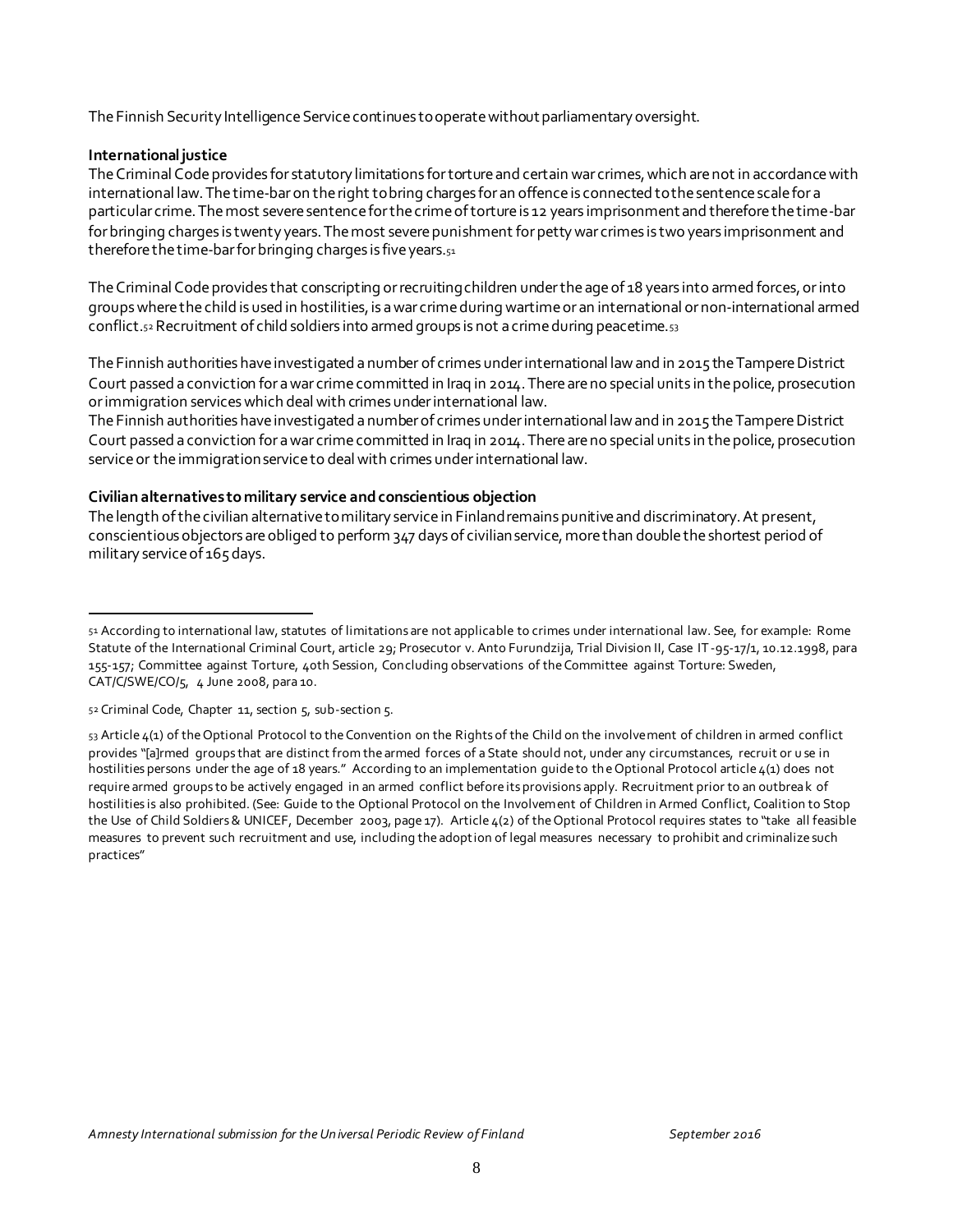The Finnish Security Intelligence Service continues to operate without parliamentary oversight.

#### **International justice**

l

The Criminal Code provides for statutory limitations for torture and certain war crimes, which are not in accordance with international law. The time-bar on the right to bring charges for an offence is connected to the sentence scale for a particular crime. The most severe sentence for the crime of torture is 12 years imprisonment and therefore the time-bar for bringing charges is twenty years. The most severe punishment for petty war crimes is two years imprisonment and therefore the time-bar for bringing charges is five years.<sub>51</sub>

The Criminal Code provides that conscripting or recruiting children under the age of 18 years into armed forces, or into groups where the child is used in hostilities, is a war crime during wartime or an international or non-international armed conflict.<sub>52</sub> Recruitment of child soldiers into armed groups is not a crime during peacetime.<sub>53</sub>

The Finnish authorities have investigated a number of crimes under international law and in 2015 the Tampere District Court passed a conviction for a war crime committed in Iraq in 2014. There are no special units in the police, prosecution or immigration services which deal with crimes under international law.

The Finnish authorities have investigated a number of crimes under international law and in 2015 the Tampere District Court passed a conviction for a war crime committed in Iraq in 2014. There are no special units in the police, prosecution service or the immigration service to deal with crimes under international law.

#### **Civilian alternatives to military service and conscientious objection**

The length of the civilian alternative to military service in Finland remains punitive and discriminatory. At present, conscientious objectors are obliged to perform 347 days of civilian service, more than double the shortest period of military service of 165 days.

<sup>51</sup> According to international law, statutes of limitations are not applicable to crimes under international law. See, for example: Rome Statute of the International Criminal Court, article 29; Prosecutor v. Anto Furundzija, Trial Division II, Case IT-95-17/1, 10.12.1998, para 155-157; Committee against Torture, 40th Session, Concluding observations of the Committee against Torture: Sweden, CAT/C/SWE/CO/5, 4 June 2008, para 10.

<sup>52</sup> Criminal Code, Chapter 11, section 5, sub-section 5.

<sup>53</sup> Article 4(1) of the Optional Protocol to the Convention on the Rights of the Child on the involvement of children in armed conflict provides "[a]rmed groups that are distinct from the armed forces of a State should not, under any circumstances, recruit or u se in hostilities persons under the age of 18 years." According to an implementation guide to the Optional Protocol article 4(1) does not require armed groups to be actively engaged in an armed conflict before its provisions apply. Recruitment prior to an outbreak of hostilities is also prohibited. (See: Guide to the Optional Protocol on the Involvement of Children in Armed Conflict, Coalition to Stop the Use of Child Soldiers & UNICEF, December 2003, page 17). Article 4(2) of the Optional Protocol requires states to "take all feasible measures to prevent such recruitment and use, including the adoption of legal measures necessary to prohibit and criminalize such practices"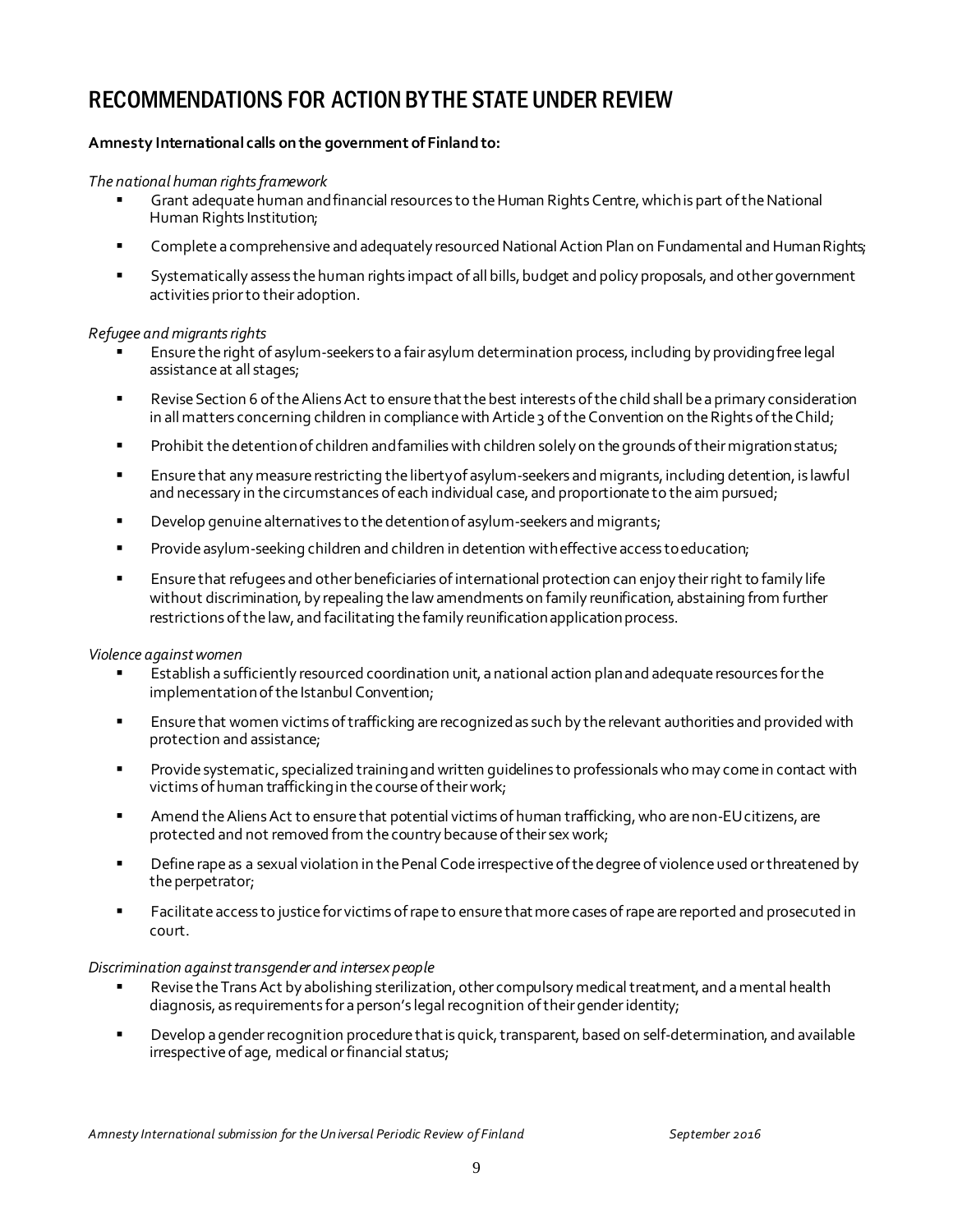# RECOMMENDATIONS FOR ACTION BY THE STATE UNDER REVIEW

#### **Amnesty International calls on the government of Finland to:**

#### *The national human rights framework*

- Grant adequate human and financial resources to the Human Rights Centre, which is part of the National Human Rights Institution;
- **EXECOMPLET A Comprehensive and adequately resourced National Action Plan on Fundamental and Human Rights;**
- **Systematically assess the human rights impact of all bills, budget and policy proposals, and other government** activities priorto their adoption.

#### *Refugee and migrants rights*

- Ensure the right of asylum-seekers to a fair asylum determination process, including by providing free legal assistanceat all stages;
- **Revise Section 6 of the Aliens Act to ensure that the best interests of the child shall be a primary consideration** in all matters concerning children in compliance with Article 3 of the Convention on the Rights of the Child;
- **Prohibit the detention of children and families with children solely on the grounds of their migration status;**
- **Ensurethat any measure restricting the liberty of asylum-seekers and migrants, including detention, is lawful** and necessary in the circumstances of each individual case, and proportionate to the aim pursued;
- **Develop genuine alternatives to the detention of asylum-seekers and migrants;**
- **Provide asylum-seeking children and children in detention with effective access to education;**
- **Ensurethat refugees and other beneficiaries of international protection can enjoy their right to family life** without discrimination, by repealing the law amendments on family reunification, abstaining from further restrictions of the law, and facilitating the family reunification application process.

#### *Violence against women*

- Establish a sufficiently resourced coordination unit, anational action planand adequateresources forthe implementation of the Istanbul Convention;
- Ensurethat women victims oftrafficking arerecognizedas such by therelevant authorities and provided with protection and assistance;
- **Provide systematic, specialized training and written guidelines to professionals who may come in contact with** victims of human traffickingin thecourseoftheirwork;
- Amend the Aliens Act to ensure that potential victims of human trafficking, who are non-EU citizens, are protected and not removed from the country because of their sex work;
- **Phonon** Define rape as a sexual violation in the Penal Code irrespective of the degree of violence used or threatened by the perpetrator;
- **Facilitate access to justice for victims of rape to ensure that more cases of rape are reported and prosecuted in** court.

#### *Discrimination against transgender and intersex people*

- Revise the Trans Act by abolishing sterilization, other compulsory medical treatment, and a mental health diagnosis, as requirements for a person's legal recognition of their gender identity;
- **Photolop** a gender recognition procedure that is quick, transparent, based on self-determination, and available irrespective of age, medical or financial status;